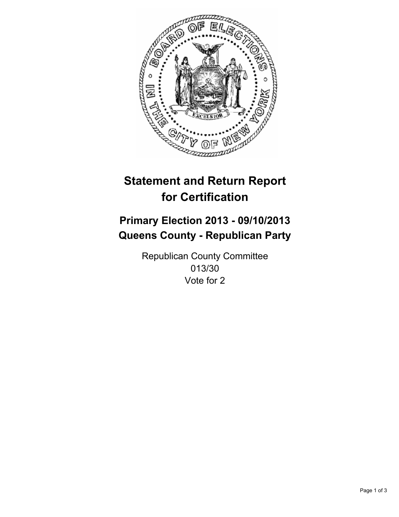

# **Statement and Return Report for Certification**

# **Primary Election 2013 - 09/10/2013 Queens County - Republican Party**

Republican County Committee 013/30 Vote for 2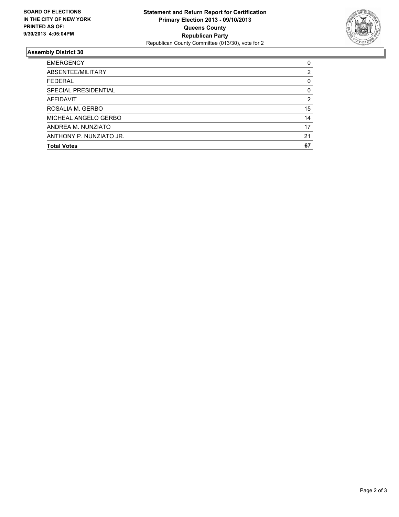

## **Assembly District 30**

| <b>EMERGENCY</b>        | 0  |
|-------------------------|----|
| ABSENTEE/MILITARY       | 2  |
| <b>FEDERAL</b>          | 0  |
| SPECIAL PRESIDENTIAL    | 0  |
| AFFIDAVIT               | 2  |
| ROSALIA M. GERBO        | 15 |
| MICHEAL ANGELO GERBO    | 14 |
| ANDREA M. NUNZIATO      | 17 |
| ANTHONY P. NUNZIATO JR. | 21 |
| <b>Total Votes</b>      | 67 |